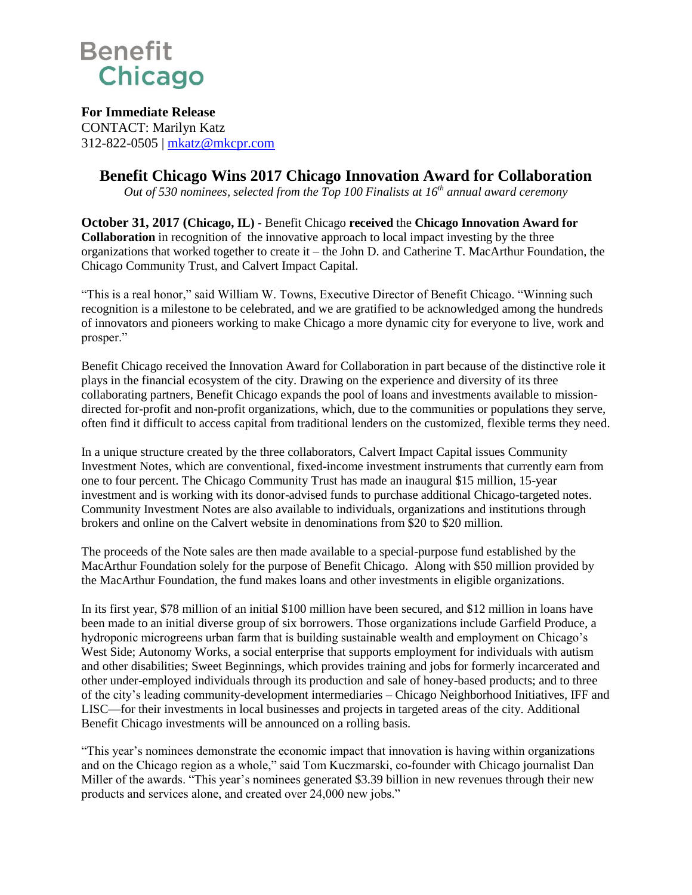

**For Immediate Release** CONTACT: Marilyn Katz 312-822-0505 | [mkatz@mkcpr.com](mailto:mkatz@mkcpr.com)

## **Benefit Chicago Wins 2017 Chicago Innovation Award for Collaboration**

*Out of 530 nominees, selected from the Top 100 Finalists at 16th annual award ceremony*

**October 31, 2017 (Chicago, IL) -** Benefit Chicago **received** the **Chicago Innovation Award for Collaboration** in recognition of the innovative approach to local impact investing by the three organizations that worked together to create it – the John D. and Catherine T. MacArthur Foundation, the Chicago Community Trust, and Calvert Impact Capital.

"This is a real honor," said William W. Towns, Executive Director of Benefit Chicago. "Winning such recognition is a milestone to be celebrated, and we are gratified to be acknowledged among the hundreds of innovators and pioneers working to make Chicago a more dynamic city for everyone to live, work and prosper."

Benefit Chicago received the Innovation Award for Collaboration in part because of the distinctive role it plays in the financial ecosystem of the city. Drawing on the experience and diversity of its three collaborating partners, Benefit Chicago expands the pool of loans and investments available to missiondirected for-profit and non-profit organizations, which, due to the communities or populations they serve, often find it difficult to access capital from traditional lenders on the customized, flexible terms they need.

In a unique structure created by the three collaborators, Calvert Impact Capital issues Community Investment Notes, which are conventional, fixed-income investment instruments that currently earn from one to four percent. The Chicago Community Trust has made an inaugural \$15 million, 15-year investment and is working with its donor-advised funds to purchase additional Chicago-targeted notes. Community Investment Notes are also available to individuals, organizations and institutions through brokers and online on the Calvert website in denominations from \$20 to \$20 million.

The proceeds of the Note sales are then made available to a special-purpose fund established by the MacArthur Foundation solely for the purpose of Benefit Chicago. Along with \$50 million provided by the MacArthur Foundation, the fund makes loans and other investments in eligible organizations.

In its first year, \$78 million of an initial \$100 million have been secured, and \$12 million in loans have been made to an initial diverse group of six borrowers. Those organizations include Garfield Produce, a hydroponic microgreens urban farm that is building sustainable wealth and employment on Chicago's West Side; Autonomy Works, a social enterprise that supports employment for individuals with autism and other disabilities; Sweet Beginnings, which provides training and jobs for formerly incarcerated and other under-employed individuals through its production and sale of honey-based products; and to three of the city's leading community-development intermediaries – Chicago Neighborhood Initiatives, IFF and LISC—for their investments in local businesses and projects in targeted areas of the city. Additional Benefit Chicago investments will be announced on a rolling basis.

"This year's nominees demonstrate the economic impact that innovation is having within organizations and on the Chicago region as a whole," said Tom Kuczmarski, co-founder with Chicago journalist Dan Miller of the awards. "This year's nominees generated \$3.39 billion in new revenues through their new products and services alone, and created over 24,000 new jobs."